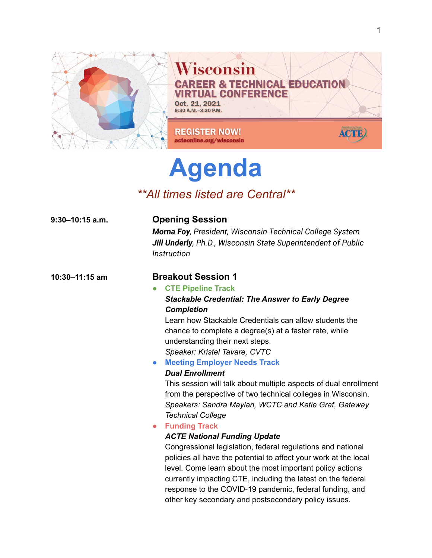

# **Agenda**

# *\*\*All times listed are Central\*\**

| 9:30–10:15 a.m. | <b>Opening Session</b><br>Morna Foy, President, Wisconsin Technical College System<br>Jill Underly, Ph.D., Wisconsin State Superintendent of Public<br><b>Instruction</b>                                                                                                                                                                                                                                                                                                                                                                                                                                                                                                                                                      |
|-----------------|--------------------------------------------------------------------------------------------------------------------------------------------------------------------------------------------------------------------------------------------------------------------------------------------------------------------------------------------------------------------------------------------------------------------------------------------------------------------------------------------------------------------------------------------------------------------------------------------------------------------------------------------------------------------------------------------------------------------------------|
| 10:30-11:15 am  | <b>Breakout Session 1</b><br><b>CTE Pipeline Track</b><br>$\bullet$<br><b>Stackable Credential: The Answer to Early Degree</b><br><b>Completion</b><br>Learn how Stackable Credentials can allow students the<br>chance to complete a degree(s) at a faster rate, while<br>understanding their next steps.<br>Speaker: Kristel Tavare, CVTC<br><b>Meeting Employer Needs Track</b><br>$\bullet$<br><b>Dual Enrollment</b><br>This session will talk about multiple aspects of dual enrollment<br>from the perspective of two technical colleges in Wisconsin.<br>Speakers: Sandra Maylan, WCTC and Katie Graf, Gateway<br><b>Technical College</b><br><b>Funding Track</b><br>$\bullet$<br><b>ACTE National Funding Update</b> |
|                 | Congressional legislation, federal regulations and national<br>policies all have the potential to affect your work at the local<br>level. Come learn about the most important policy actions<br>currently impacting CTE, including the latest on the federal<br>response to the COVID-19 pandemic, federal funding, and<br>other key secondary and postsecondary policy issues.                                                                                                                                                                                                                                                                                                                                                |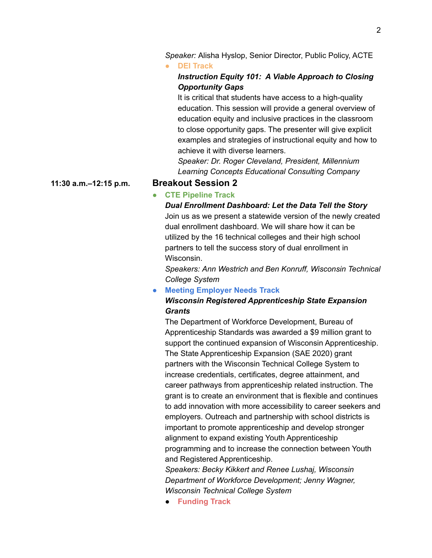*Speaker:* Alisha Hyslop, Senior Director, Public Policy, ACTE

#### **● DEI Track**

# *Instruction Equity 101: A Viable Approach to Closing Opportunity Gaps*

It is critical that students have access to a high-quality education. This session will provide a general overview of education equity and inclusive practices in the classroom to close opportunity gaps. The presenter will give explicit examples and strategies of instructional equity and how to achieve it with diverse learners.

*Speaker: Dr. Roger Cleveland, President, Millennium Learning Concepts Educational Consulting Company*

#### **11:30 a.m.–12:15 p.m. Breakout Session 2**

# **● CTE Pipeline Track**

*Dual Enrollment Dashboard: Let the Data Tell the Story* Join us as we present a statewide version of the newly created dual enrollment dashboard. We will share how it can be utilized by the 16 technical colleges and their high school partners to tell the success story of dual enrollment in Wisconsin.

*Speakers: Ann Westrich and Ben Konruff, Wisconsin Technical College System*

#### **● Meeting Employer Needs Track**

# *Wisconsin Registered Apprenticeship State Expansion Grants*

The Department of Workforce Development, Bureau of Apprenticeship Standards was awarded a \$9 million grant to support the continued expansion of Wisconsin Apprenticeship. The State Apprenticeship Expansion (SAE 2020) grant partners with the Wisconsin Technical College System to increase credentials, certificates, degree attainment, and career pathways from apprenticeship related instruction. The grant is to create an environment that is flexible and continues to add innovation with more accessibility to career seekers and employers. Outreach and partnership with school districts is important to promote apprenticeship and develop stronger alignment to expand existing Youth Apprenticeship programming and to increase the connection between Youth and Registered Apprenticeship.

*Speakers: Becky Kikkert and Renee Lushaj, Wisconsin Department of Workforce Development; Jenny Wagner, Wisconsin Technical College System*

**● Funding Track**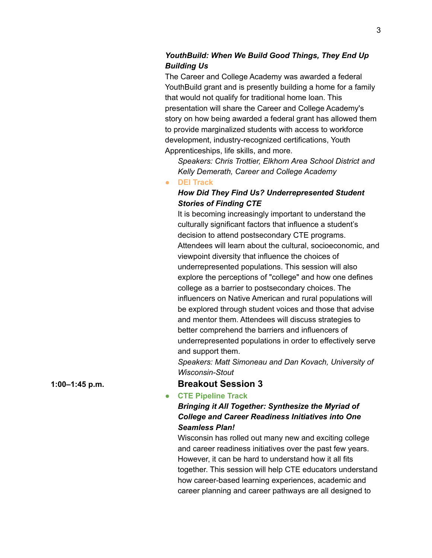# *YouthBuild: When We Build Good Things, They End Up Building Us*

The Career and College Academy was awarded a federal YouthBuild grant and is presently building a home for a family that would not qualify for traditional home loan. This presentation will share the Career and College Academy's story on how being awarded a federal grant has allowed them to provide marginalized students with access to workforce development, industry-recognized certifications, Youth Apprenticeships, life skills, and more.

*Speakers: Chris Trottier, Elkhorn Area School District and Kelly Demerath, Career and College Academy*

#### **● DEI Track**

# *How Did They Find Us? Underrepresented Student Stories of Finding CTE*

It is becoming increasingly important to understand the culturally significant factors that influence a student's decision to attend postsecondary CTE programs. Attendees will learn about the cultural, socioeconomic, and viewpoint diversity that influence the choices of underrepresented populations. This session will also explore the perceptions of "college" and how one defines college as a barrier to postsecondary choices. The influencers on Native American and rural populations will be explored through student voices and those that advise and mentor them. Attendees will discuss strategies to better comprehend the barriers and influencers of underrepresented populations in order to effectively serve and support them.

*Speakers: Matt Simoneau and Dan Kovach, University of Wisconsin-Stout*

### **1:00–1:45 p.m. Breakout Session 3**

**● CTE Pipeline Track**

# *Bringing it All Together: Synthesize the Myriad of College and Career Readiness Initiatives into One Seamless Plan!*

Wisconsin has rolled out many new and exciting college and career readiness initiatives over the past few years. However, it can be hard to understand how it all fits together. This session will help CTE educators understand how career-based learning experiences, academic and career planning and career pathways are all designed to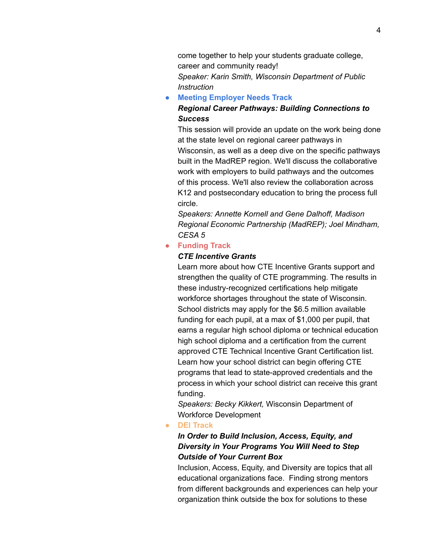come together to help your students graduate college, career and community ready! *Speaker: Karin Smith, Wisconsin Department of Public Instruction*

**● Meeting Employer Needs Track**

# *Regional Career Pathways: Building Connections to Success*

This session will provide an update on the work being done at the state level on regional career pathways in Wisconsin, as well as a deep dive on the specific pathways built in the MadREP region. We'll discuss the collaborative work with employers to build pathways and the outcomes of this process. We'll also review the collaboration across K12 and postsecondary education to bring the process full circle.

*Speakers: Annette Kornell and Gene Dalhoff, Madison Regional Economic Partnership (MadREP); Joel Mindham, CESA 5*

#### **● Funding Track**

#### *CTE Incentive Grants*

Learn more about how CTE Incentive Grants support and strengthen the quality of CTE programming. The results in these industry-recognized certifications help mitigate workforce shortages throughout the state of Wisconsin. School districts may apply for the \$6.5 million available funding for each pupil, at a max of \$1,000 per pupil, that earns a regular high school diploma or technical education high school diploma and a certification from the current approved CTE Technical Incentive Grant Certification list. Learn how your school district can begin offering CTE programs that lead to state-approved credentials and the process in which your school district can receive this grant funding.

*Speakers: Becky Kikkert,* Wisconsin Department of Workforce Development

#### **● DEI Track**

# *In Order to Build Inclusion, Access, Equity, and Diversity in Your Programs You Will Need to Step Outside of Your Current Box*

Inclusion, Access, Equity, and Diversity are topics that all educational organizations face. Finding strong mentors from different backgrounds and experiences can help your organization think outside the box for solutions to these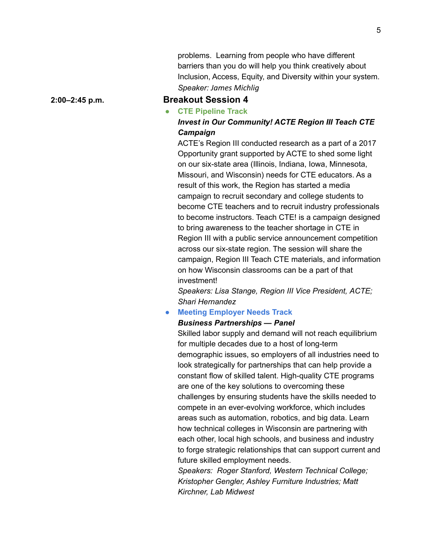problems. Learning from people who have different barriers than you do will help you think creatively about Inclusion, Access, Equity, and Diversity within your system. *Speaker: James Michlig*

#### **2:00–2:45 p.m. Breakout Session 4**

## **● CTE Pipeline Track** *Invest in Our Community! ACTE Region III Teach CTE Campaign*

ACTE's Region III conducted research as a part of a 2017 Opportunity grant supported by ACTE to shed some light on our six-state area (Illinois, Indiana, Iowa, Minnesota, Missouri, and Wisconsin) needs for CTE educators. As a result of this work, the Region has started a media campaign to recruit secondary and college students to become CTE teachers and to recruit industry professionals to become instructors. Teach CTE! is a campaign designed to bring awareness to the teacher shortage in CTE in Region III with a public service announcement competition across our six-state region. The session will share the campaign, Region III Teach CTE materials, and information on how Wisconsin classrooms can be a part of that investment!

*Speakers: Lisa Stange, Region III Vice President, ACTE; Shari Hernandez*

#### **● Meeting Employer Needs Track**

#### *Business Partnerships — Panel*

Skilled labor supply and demand will not reach equilibrium for multiple decades due to a host of long-term demographic issues, so employers of all industries need to look strategically for partnerships that can help provide a constant flow of skilled talent. High-quality CTE programs are one of the key solutions to overcoming these challenges by ensuring students have the skills needed to compete in an ever-evolving workforce, which includes areas such as automation, robotics, and big data. Learn how technical colleges in Wisconsin are partnering with each other, local high schools, and business and industry to forge strategic relationships that can support current and future skilled employment needs.

*Speakers: Roger Stanford, Western Technical College; Kristopher Gengler, Ashley Furniture Industries; Matt Kirchner, Lab Midwest*